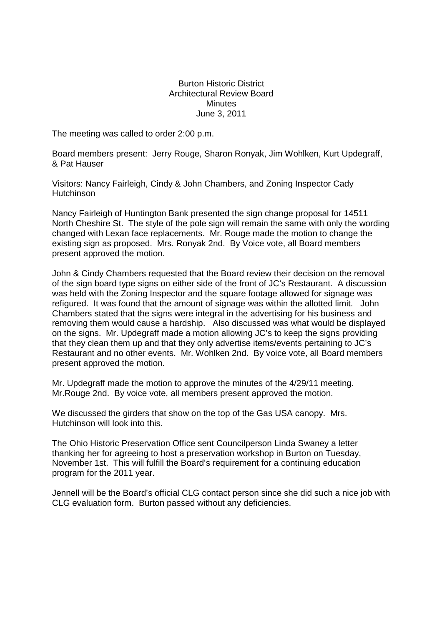## Burton Historic District Architectural Review Board **Minutes** June 3, 2011

The meeting was called to order 2:00 p.m.

Board members present: Jerry Rouge, Sharon Ronyak, Jim Wohlken, Kurt Updegraff, & Pat Hauser

Visitors: Nancy Fairleigh, Cindy & John Chambers, and Zoning Inspector Cady **Hutchinson** 

Nancy Fairleigh of Huntington Bank presented the sign change proposal for 14511 North Cheshire St. The style of the pole sign will remain the same with only the wording changed with Lexan face replacements. Mr. Rouge made the motion to change the existing sign as proposed. Mrs. Ronyak 2nd. By Voice vote, all Board members present approved the motion.

John & Cindy Chambers requested that the Board review their decision on the removal of the sign board type signs on either side of the front of JC's Restaurant. A discussion was held with the Zoning Inspector and the square footage allowed for signage was refigured. It was found that the amount of signage was within the allotted limit. John Chambers stated that the signs were integral in the advertising for his business and removing them would cause a hardship. Also discussed was what would be displayed on the signs. Mr. Updegraff made a motion allowing JC's to keep the signs providing that they clean them up and that they only advertise items/events pertaining to JC's Restaurant and no other events. Mr. Wohlken 2nd. By voice vote, all Board members present approved the motion.

Mr. Updegraff made the motion to approve the minutes of the 4/29/11 meeting. Mr.Rouge 2nd. By voice vote, all members present approved the motion.

We discussed the girders that show on the top of the Gas USA canopy. Mrs. Hutchinson will look into this.

The Ohio Historic Preservation Office sent Councilperson Linda Swaney a letter thanking her for agreeing to host a preservation workshop in Burton on Tuesday, November 1st. This will fulfill the Board's requirement for a continuing education program for the 2011 year.

Jennell will be the Board's official CLG contact person since she did such a nice job with CLG evaluation form. Burton passed without any deficiencies.